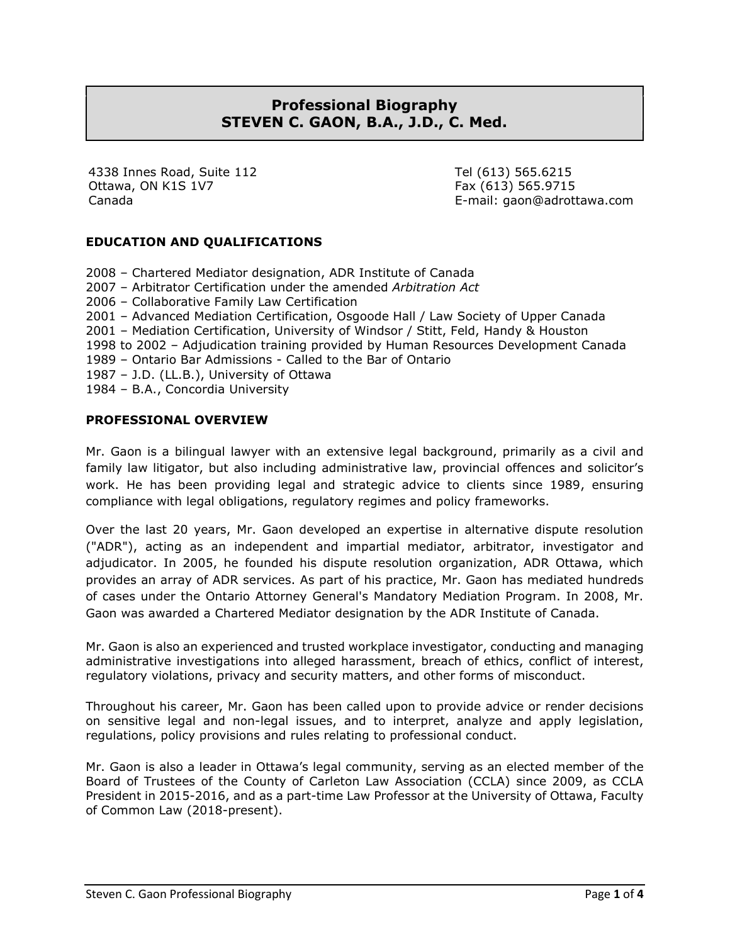# **Professional Biography STEVEN C. GAON, B.A., J.D., C. Med.**

4338 Innes Road, Suite 112 Ottawa, ON K1S 1V7 Canada

Tel (613) 565.6215 Fax (613) 565.9715 E-mail: gaon@adrottawa.com

# **EDUCATION AND QUALIFICATIONS**

2008 – Chartered Mediator designation, ADR Institute of Canada 2007 – Arbitrator Certification under the amended *Arbitration Act* 2006 – Collaborative Family Law Certification 2001 – Advanced Mediation Certification, Osgoode Hall / Law Society of Upper Canada 2001 – Mediation Certification, University of Windsor / Stitt, Feld, Handy & Houston 1998 to 2002 – Adjudication training provided by Human Resources Development Canada 1989 – Ontario Bar Admissions - Called to the Bar of Ontario 1987 – J.D. (LL.B.), University of Ottawa 1984 – B.A., Concordia University

### **PROFESSIONAL OVERVIEW**

Mr. Gaon is a bilingual lawyer with an extensive legal background, primarily as a civil and family law litigator, but also including administrative law, provincial offences and solicitor's work. He has been providing legal and strategic advice to clients since 1989, ensuring compliance with legal obligations, regulatory regimes and policy frameworks.

Over the last 20 years, Mr. Gaon developed an expertise in alternative dispute resolution ("ADR"), acting as an independent and impartial mediator, arbitrator, investigator and adjudicator. In 2005, he founded his dispute resolution organization, ADR Ottawa, which provides an array of ADR services. As part of his practice, Mr. Gaon has mediated hundreds of cases under the Ontario Attorney General's Mandatory Mediation Program. In 2008, Mr. Gaon was awarded a Chartered Mediator designation by the ADR Institute of Canada.

Mr. Gaon is also an experienced and trusted workplace investigator, conducting and managing administrative investigations into alleged harassment, breach of ethics, conflict of interest, regulatory violations, privacy and security matters, and other forms of misconduct.

Throughout his career, Mr. Gaon has been called upon to provide advice or render decisions on sensitive legal and non-legal issues, and to interpret, analyze and apply legislation, regulations, policy provisions and rules relating to professional conduct.

Mr. Gaon is also a leader in Ottawa's legal community, serving as an elected member of the Board of Trustees of the County of Carleton Law Association (CCLA) since 2009, as CCLA President in 2015-2016, and as a part-time Law Professor at the University of Ottawa, Faculty of Common Law (2018-present).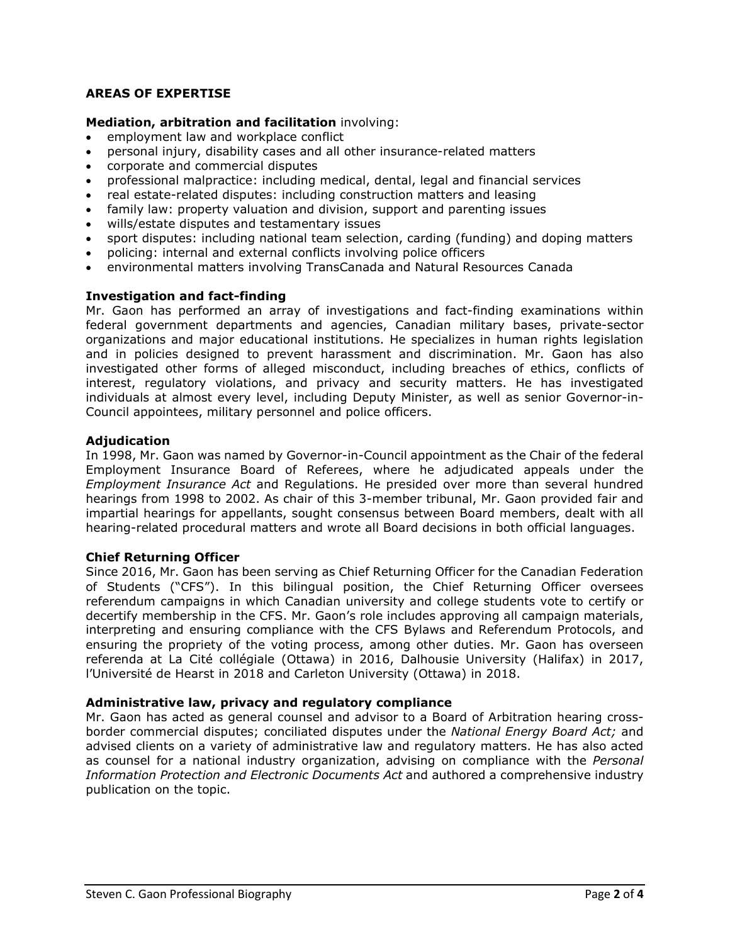# **AREAS OF EXPERTISE**

#### **Mediation, arbitration and facilitation** involving:

- employment law and workplace conflict
- personal injury, disability cases and all other insurance-related matters
- corporate and commercial disputes
- professional malpractice: including medical, dental, legal and financial services
- real estate-related disputes: including construction matters and leasing
- family law: property valuation and division, support and parenting issues
- wills/estate disputes and testamentary issues
- sport disputes: including national team selection, carding (funding) and doping matters
- policing: internal and external conflicts involving police officers
- environmental matters involving TransCanada and Natural Resources Canada

#### **Investigation and fact-finding**

Mr. Gaon has performed an array of investigations and fact-finding examinations within federal government departments and agencies, Canadian military bases, private-sector organizations and major educational institutions. He specializes in human rights legislation and in policies designed to prevent harassment and discrimination. Mr. Gaon has also investigated other forms of alleged misconduct, including breaches of ethics, conflicts of interest, regulatory violations, and privacy and security matters. He has investigated individuals at almost every level, including Deputy Minister, as well as senior Governor-in-Council appointees, military personnel and police officers.

#### **Adjudication**

In 1998, Mr. Gaon was named by Governor-in-Council appointment as the Chair of the federal Employment Insurance Board of Referees, where he adjudicated appeals under the *Employment Insurance Act* and Regulations. He presided over more than several hundred hearings from 1998 to 2002. As chair of this 3-member tribunal, Mr. Gaon provided fair and impartial hearings for appellants, sought consensus between Board members, dealt with all hearing-related procedural matters and wrote all Board decisions in both official languages.

#### **Chief Returning Officer**

Since 2016, Mr. Gaon has been serving as Chief Returning Officer for the Canadian Federation of Students ("CFS"). In this bilingual position, the Chief Returning Officer oversees referendum campaigns in which Canadian university and college students vote to certify or decertify membership in the CFS. Mr. Gaon's role includes approving all campaign materials, interpreting and ensuring compliance with the CFS Bylaws and Referendum Protocols, and ensuring the propriety of the voting process, among other duties. Mr. Gaon has overseen referenda at La Cité collégiale (Ottawa) in 2016, Dalhousie University (Halifax) in 2017, l'Université de Hearst in 2018 and Carleton University (Ottawa) in 2018.

#### **Administrative law, privacy and regulatory compliance**

Mr. Gaon has acted as general counsel and advisor to a Board of Arbitration hearing crossborder commercial disputes; conciliated disputes under the *National Energy Board Act;* and advised clients on a variety of administrative law and regulatory matters. He has also acted as counsel for a national industry organization, advising on compliance with the *Personal Information Protection and Electronic Documents Act* and authored a comprehensive industry publication on the topic.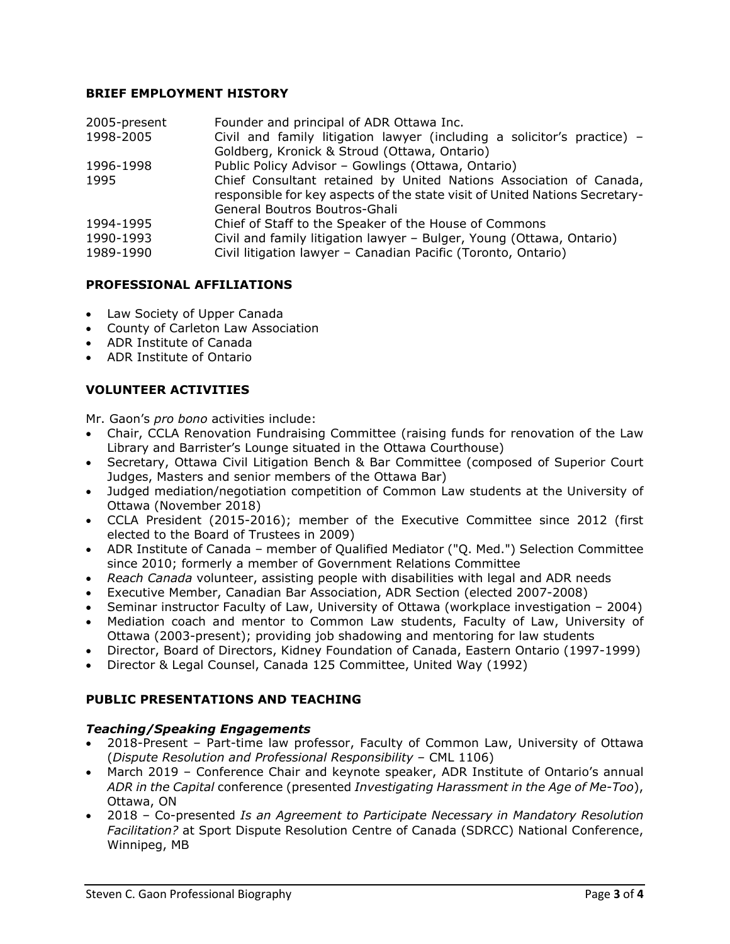### **BRIEF EMPLOYMENT HISTORY**

| 2005-present | Founder and principal of ADR Ottawa Inc.                                    |
|--------------|-----------------------------------------------------------------------------|
| 1998-2005    | Civil and family litigation lawyer (including a solicitor's practice) -     |
|              | Goldberg, Kronick & Stroud (Ottawa, Ontario)                                |
| 1996-1998    | Public Policy Advisor - Gowlings (Ottawa, Ontario)                          |
| 1995         | Chief Consultant retained by United Nations Association of Canada,          |
|              | responsible for key aspects of the state visit of United Nations Secretary- |
|              | General Boutros Boutros-Ghali                                               |
| 1994-1995    | Chief of Staff to the Speaker of the House of Commons                       |
| 1990-1993    | Civil and family litigation lawyer - Bulger, Young (Ottawa, Ontario)        |
| 1989-1990    | Civil litigation lawyer - Canadian Pacific (Toronto, Ontario)               |

#### **PROFESSIONAL AFFILIATIONS**

- Law Society of Upper Canada
- County of Carleton Law Association
- ADR Institute of Canada
- ADR Institute of Ontario

# **VOLUNTEER ACTIVITIES**

Mr. Gaon's *pro bono* activities include:

- Chair, CCLA Renovation Fundraising Committee (raising funds for renovation of the Law Library and Barrister's Lounge situated in the Ottawa Courthouse)
- Secretary, Ottawa Civil Litigation Bench & Bar Committee (composed of Superior Court Judges, Masters and senior members of the Ottawa Bar)
- Judged mediation/negotiation competition of Common Law students at the University of Ottawa (November 2018)
- CCLA President (2015-2016); member of the Executive Committee since 2012 (first elected to the Board of Trustees in 2009)
- ADR Institute of Canada member of Qualified Mediator ("Q. Med.") Selection Committee since 2010; formerly a member of Government Relations Committee
- *Reach Canada* volunteer, assisting people with disabilities with legal and ADR needs
- Executive Member, Canadian Bar Association, ADR Section (elected 2007-2008)
- Seminar instructor Faculty of Law, University of Ottawa (workplace investigation 2004)
- Mediation coach and mentor to Common Law students, Faculty of Law, University of Ottawa (2003-present); providing job shadowing and mentoring for law students
- Director, Board of Directors, Kidney Foundation of Canada, Eastern Ontario (1997-1999)
- Director & Legal Counsel, Canada 125 Committee, United Way (1992)

#### **PUBLIC PRESENTATIONS AND TEACHING**

#### *Teaching/Speaking Engagements*

- 2018-Present Part-time law professor, Faculty of Common Law, University of Ottawa (*Dispute Resolution and Professional Responsibility* – CML 1106)
- March 2019 Conference Chair and keynote speaker, ADR Institute of Ontario's annual *ADR in the Capital* conference (presented *Investigating Harassment in the Age of Me-Too*), Ottawa, ON
- 2018 Co-presented *Is an Agreement to Participate Necessary in Mandatory Resolution Facilitation?* at Sport Dispute Resolution Centre of Canada (SDRCC) National Conference, Winnipeg, MB